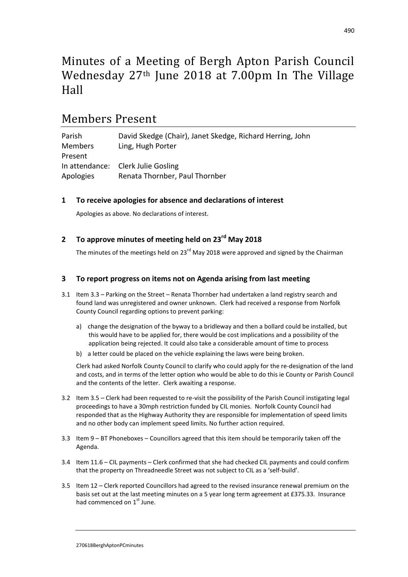# Minutes of a Meeting of Bergh Apton Parish Council Wednesday 27th June 2018 at 7.00pm In The Village Hall

# Members Present

| Parish         | David Skedge (Chair), Janet Skedge, Richard Herring, John |
|----------------|-----------------------------------------------------------|
| <b>Members</b> | Ling, Hugh Porter                                         |
| Present        |                                                           |
|                | In attendance: Clerk Julie Gosling                        |
| Apologies      | Renata Thornber, Paul Thornber                            |

### **1 To receive apologies for absence and declarations of interest**

Apologies as above. No declarations of interest.

## **2 To approve minutes of meeting held on 23rd May 2018**

The minutes of the meetings held on 23<sup>rd</sup> May 2018 were approved and signed by the Chairman

### **3 To report progress on items not on Agenda arising from last meeting**

- 3.1 Item 3.3 Parking on the Street Renata Thornber had undertaken a land registry search and found land was unregistered and owner unknown. Clerk had received a response from Norfolk County Council regarding options to prevent parking:
	- a) change the designation of the byway to a bridleway and then a bollard could be installed, but this would have to be applied for, there would be cost implications and a possibility of the application being rejected. It could also take a considerable amount of time to process
	- b) a letter could be placed on the vehicle explaining the laws were being broken.

Clerk had asked Norfolk County Council to clarify who could apply for the re-designation of the land and costs, and in terms of the letter option who would be able to do this ie County or Parish Council and the contents of the letter. Clerk awaiting a response.

- 3.2 Item 3.5 Clerk had been requested to re-visit the possibility of the Parish Council instigating legal proceedings to have a 30mph restriction funded by CIL monies. Norfolk County Council had responded that as the Highway Authority they are responsible for implementation of speed limits and no other body can implement speed limits. No further action required.
- 3.3 Item 9 BT Phoneboxes Councillors agreed that this item should be temporarily taken off the Agenda.
- 3.4 Item 11.6 CIL payments Clerk confirmed that she had checked CIL payments and could confirm that the property on Threadneedle Street was not subject to CIL as a 'self-build'.
- 3.5 Item 12 Clerk reported Councillors had agreed to the revised insurance renewal premium on the basis set out at the last meeting minutes on a 5 year long term agreement at £375.33. Insurance had commenced on  $1<sup>st</sup>$  June.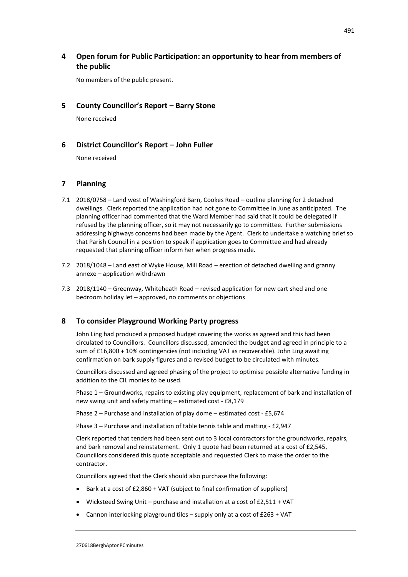## **4 Open forum for Public Participation: an opportunity to hear from members of the public**

No members of the public present.

#### **5 County Councillor's Report – Barry Stone**

None received

#### **6 District Councillor's Report – John Fuller**

None received

### **7 Planning**

- 7.1 2018/0758 Land west of Washingford Barn, Cookes Road outline planning for 2 detached dwellings. Clerk reported the application had not gone to Committee in June as anticipated. The planning officer had commented that the Ward Member had said that it could be delegated if refused by the planning officer, so it may not necessarily go to committee. Further submissions addressing highways concerns had been made by the Agent. Clerk to undertake a watching brief so that Parish Council in a position to speak if application goes to Committee and had already requested that planning officer inform her when progress made.
- 7.2 2018/1048 Land east of Wyke House, Mill Road erection of detached dwelling and granny annexe – application withdrawn
- 7.3 2018/1140 Greenway, Whiteheath Road revised application for new cart shed and one bedroom holiday let – approved, no comments or objections

### **8 To consider Playground Working Party progress**

John Ling had produced a proposed budget covering the works as agreed and this had been circulated to Councillors. Councillors discussed, amended the budget and agreed in principle to a sum of £16,800 + 10% contingencies (not including VAT as recoverable). John Ling awaiting confirmation on bark supply figures and a revised budget to be circulated with minutes.

Councillors discussed and agreed phasing of the project to optimise possible alternative funding in addition to the CIL monies to be used.

Phase 1 – Groundworks, repairs to existing play equipment, replacement of bark and installation of new swing unit and safety matting – estimated cost - £8,179

Phase 2 – Purchase and installation of play dome – estimated cost - £5,674

Phase 3 – Purchase and installation of table tennis table and matting - £2,947

Clerk reported that tenders had been sent out to 3 local contractors for the groundworks, repairs, and bark removal and reinstatement. Only 1 quote had been returned at a cost of £2,545, Councillors considered this quote acceptable and requested Clerk to make the order to the contractor.

Councillors agreed that the Clerk should also purchase the following:

- Bark at a cost of £2,860 + VAT (subject to final confirmation of suppliers)
- Wicksteed Swing Unit purchase and installation at a cost of £2,511 + VAT
- Cannon interlocking playground tiles supply only at a cost of £263 + VAT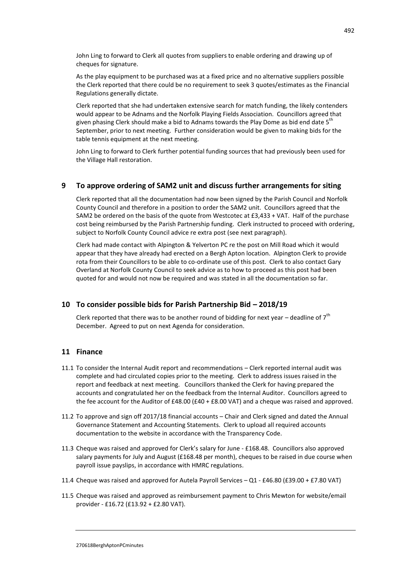John Ling to forward to Clerk all quotes from suppliers to enable ordering and drawing up of cheques for signature.

As the play equipment to be purchased was at a fixed price and no alternative suppliers possible the Clerk reported that there could be no requirement to seek 3 quotes/estimates as the Financial Regulations generally dictate.

Clerk reported that she had undertaken extensive search for match funding, the likely contenders would appear to be Adnams and the Norfolk Playing Fields Association. Councillors agreed that given phasing Clerk should make a bid to Adnams towards the Play Dome as bid end date 5<sup>th</sup> September, prior to next meeting. Further consideration would be given to making bids for the table tennis equipment at the next meeting.

John Ling to forward to Clerk further potential funding sources that had previously been used for the Village Hall restoration.

#### **9 To approve ordering of SAM2 unit and discuss further arrangements for siting**

Clerk reported that all the documentation had now been signed by the Parish Council and Norfolk County Council and therefore in a position to order the SAM2 unit. Councillors agreed that the SAM2 be ordered on the basis of the quote from Westcotec at £3,433 + VAT. Half of the purchase cost being reimbursed by the Parish Partnership funding. Clerk instructed to proceed with ordering, subject to Norfolk County Council advice re extra post (see next paragraph).

Clerk had made contact with Alpington & Yelverton PC re the post on Mill Road which it would appear that they have already had erected on a Bergh Apton location. Alpington Clerk to provide rota from their Councillors to be able to co-ordinate use of this post. Clerk to also contact Gary Overland at Norfolk County Council to seek advice as to how to proceed as this post had been quoted for and would not now be required and was stated in all the documentation so far.

#### **10 To consider possible bids for Parish Partnership Bid – 2018/19**

Clerk reported that there was to be another round of bidding for next year – deadline of  $7<sup>th</sup>$ December. Agreed to put on next Agenda for consideration.

#### **11 Finance**

- 11.1 To consider the Internal Audit report and recommendations Clerk reported internal audit was complete and had circulated copies prior to the meeting. Clerk to address issues raised in the report and feedback at next meeting. Councillors thanked the Clerk for having prepared the accounts and congratulated her on the feedback from the Internal Auditor. Councillors agreed to the fee account for the Auditor of £48.00 (£40 + £8.00 VAT) and a cheque was raised and approved.
- 11.2 To approve and sign off 2017/18 financial accounts Chair and Clerk signed and dated the Annual Governance Statement and Accounting Statements. Clerk to upload all required accounts documentation to the website in accordance with the Transparency Code.
- 11.3 Cheque was raised and approved for Clerk's salary for June £168.48. Councillors also approved salary payments for July and August (£168.48 per month), cheques to be raised in due course when payroll issue payslips, in accordance with HMRC regulations.
- 11.4 Cheque was raised and approved for Autela Payroll Services Q1 £46.80 (£39.00 + £7.80 VAT)
- 11.5 Cheque was raised and approved as reimbursement payment to Chris Mewton for website/email provider - £16.72 (£13.92 + £2.80 VAT).